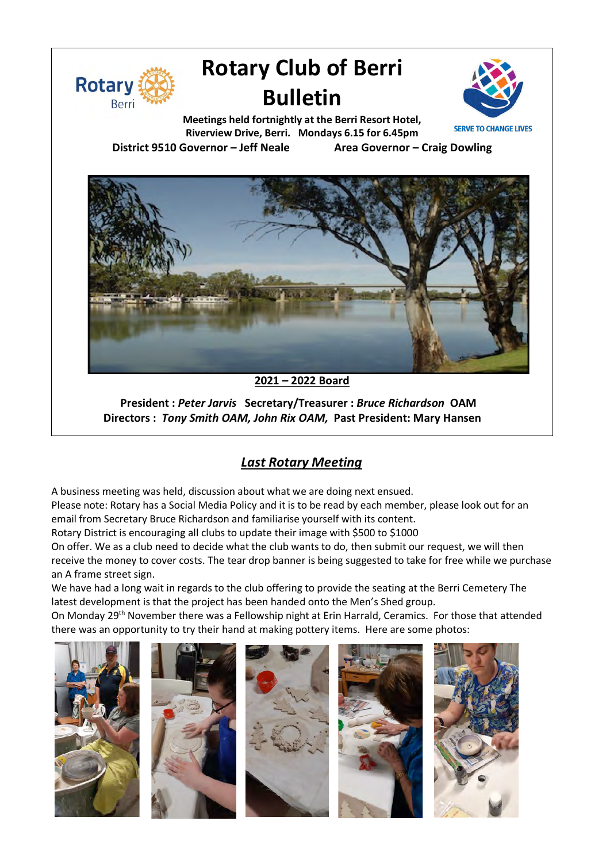

# **Rotary Club of Berri Bulletin**



**Meetings held fortnightly at the Berri Resort Hotel, Riverview Drive, Berri. Mondays 6.15 for 6.45pm District 9510 Governor – Jeff Neale Area Governor – Craig Dowling**



**2021 – 2022 Board**

**President :** *Peter Jarvis* **Secretary/Treasurer :** *Bruce Richardson* **OAM Directors :** *Tony Smith OAM, John Rix OAM,* **Past President: Mary Hansen**

# *Last Rotary Meeting*

A business meeting was held, discussion about what we are doing next ensued.

Please note: Rotary has a Social Media Policy and it is to be read by each member, please look out for an email from Secretary Bruce Richardson and familiarise yourself with its content.

Rotary District is encouraging all clubs to update their image with \$500 to \$1000

On offer. We as a club need to decide what the club wants to do, then submit our request, we will then receive the money to cover costs. The tear drop banner is being suggested to take for free while we purchase an A frame street sign.

We have had a long wait in regards to the club offering to provide the seating at the Berri Cemetery The latest development is that the project has been handed onto the Men's Shed group.

On Monday 29<sup>th</sup> November there was a Fellowship night at Erin Harrald, Ceramics. For those that attended there was an opportunity to try their hand at making pottery items. Here are some photos: